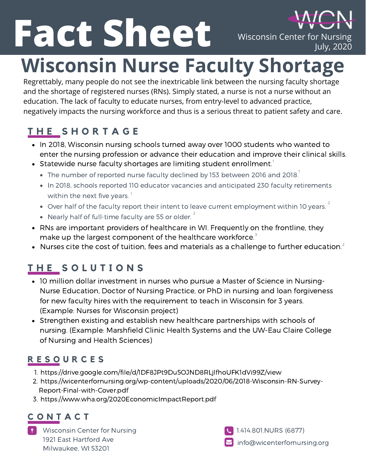**Fact Sheet** Wisconsin Center for Nursing<br>July, 2020 **Wisconsin Nurse Faculty Shortage**

Regrettably, many people do not see the inextricable link between the nursing faculty shortage and the shortage of registered nurses (RNs). Simply stated, a nurse is not a nurse without an education. The lack of faculty to educate nurses, from entry-level to advanced practice, negatively impacts the nursing workforce and thus is a serious threat to patient safety and care.

# **T H E S H O R T A G E**

- In 2018, Wisconsin nursing schools turned away over 1000 students who wanted to enter the nursing profession or advance their education and improve their clinical skills.
- Statewide nurse faculty shortages are limiting student enrollment. $^\text{1}$ 
	- The number of reported nurse faculty declined by 153 between 2016 and 2018. $^{\rm !}$
	- In 2018, schools reported 110 educator vacancies and anticipated 230 faculty retirements within the next five years.  $^\mathrm{1}$
	- Over half of the faculty report their intent to leave current employment within 10 years.  $^{2}$
	- Nearly half of full-time faculty are 55 or older.<sup>2</sup>
- RNs are important providers of healthcare in WI. Frequently on the frontline, they make up the largest component of the healthcare workforce.<sup>3</sup>
- Nurses cite the cost of tuition, fees and materials as a challenge to further education. 2

# **T H E S O L U T I O N S**

- 10 million dollar investment in nurses who pursue a Master of Science in Nursing-Nurse Education, Doctor of Nursing Practice, or PhD in nursing and loan forgiveness for new faculty hires with the requirement to teach in Wisconsin for 3 years. (Example: Nurses for Wisconsin project)
- Strengthen existing and establish new healthcare partnerships with schools of nursing. (Example: Marshfield Clinic Health Systems and the UW-Eau Claire College of Nursing and Health Sciences)

### **R E S O U R C E S**

- 1. https://drive.google.com/file/d/IDF8JPt9Du5OJND8RLjlfhoUFK1dVi99Z/view
- 2. https://wicenterfornursing.org/wp-content/uploads/2020/06/2018-Wisconsin-RN-Survey-Report-Final-with-Cover.pdf
- 3. https://www.wha.org/2020EconomicImpactReport.pdf

## **C O N T A C T**

Wisconsin Center for Nursing 1921 East Hartford Ave Milwaukee, WI 53201

info@wicenterfornursing.org 1.414.801.NURS (6877)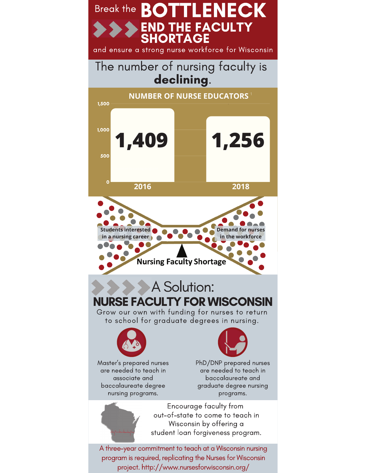